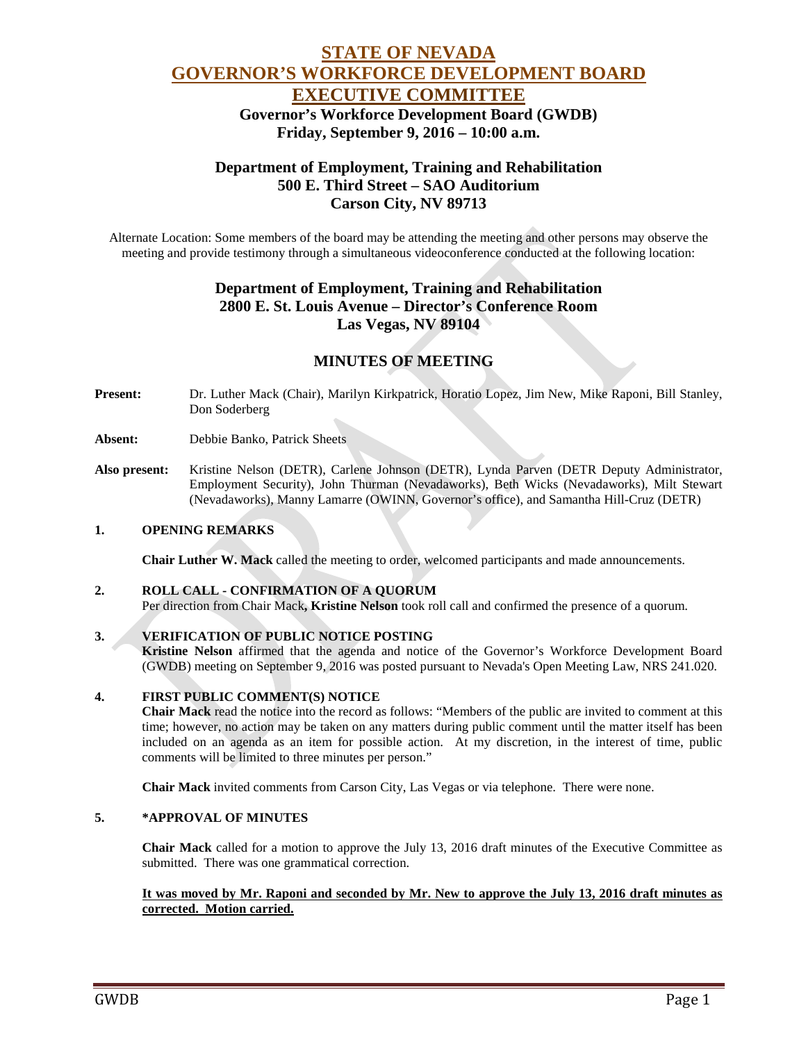# **STATE OF NEVADA GOVERNOR'S WORKFORCE DEVELOPMENT BOARD EXECUTIVE COMMITTEE** **Governor's Workforce Development Board (GWDB) Friday, September 9, 2016 – 10:00 a.m.**

# **Department of Employment, Training and Rehabilitation 500 E. Third Street – SAO Auditorium Carson City, NV 89713**

Alternate Location: Some members of the board may be attending the meeting and other persons may observe the meeting and provide testimony through a simultaneous videoconference conducted at the following location:

# **Department of Employment, Training and Rehabilitation 2800 E. St. Louis Avenue – Director's Conference Room Las Vegas, NV 89104**

# **MINUTES OF MEETING**

**Present:** Dr. Luther Mack (Chair), Marilyn Kirkpatrick, Horatio Lopez, Jim New, Mike Raponi, Bill Stanley, Don Soderberg

**Absent:** Debbie Banko, Patrick Sheets

**Also present:** Kristine Nelson (DETR), Carlene Johnson (DETR), Lynda Parven (DETR Deputy Administrator, Employment Security), John Thurman (Nevadaworks), Beth Wicks (Nevadaworks), Milt Stewart (Nevadaworks), Manny Lamarre (OWINN, Governor's office), and Samantha Hill-Cruz (DETR)

### **1. OPENING REMARKS**

**Chair Luther W. Mack** called the meeting to order, welcomed participants and made announcements.

#### **2. ROLL CALL - CONFIRMATION OF A QUORUM**

Per direction from Chair Mack**, Kristine Nelson** took roll call and confirmed the presence of a quorum.

#### **3. VERIFICATION OF PUBLIC NOTICE POSTING**

**Kristine Nelson** affirmed that the agenda and notice of the Governor's Workforce Development Board (GWDB) meeting on September 9, 2016 was posted pursuant to Nevada's Open Meeting Law, NRS 241.020.

#### **4. FIRST PUBLIC COMMENT(S) NOTICE**

**Chair Mack** read the notice into the record as follows: "Members of the public are invited to comment at this time; however, no action may be taken on any matters during public comment until the matter itself has been included on an agenda as an item for possible action. At my discretion, in the interest of time, public comments will be limited to three minutes per person."

**Chair Mack** invited comments from Carson City, Las Vegas or via telephone. There were none.

#### **5. \*APPROVAL OF MINUTES**

**Chair Mack** called for a motion to approve the July 13, 2016 draft minutes of the Executive Committee as submitted. There was one grammatical correction.

#### **It was moved by Mr. Raponi and seconded by Mr. New to approve the July 13, 2016 draft minutes as corrected. Motion carried.**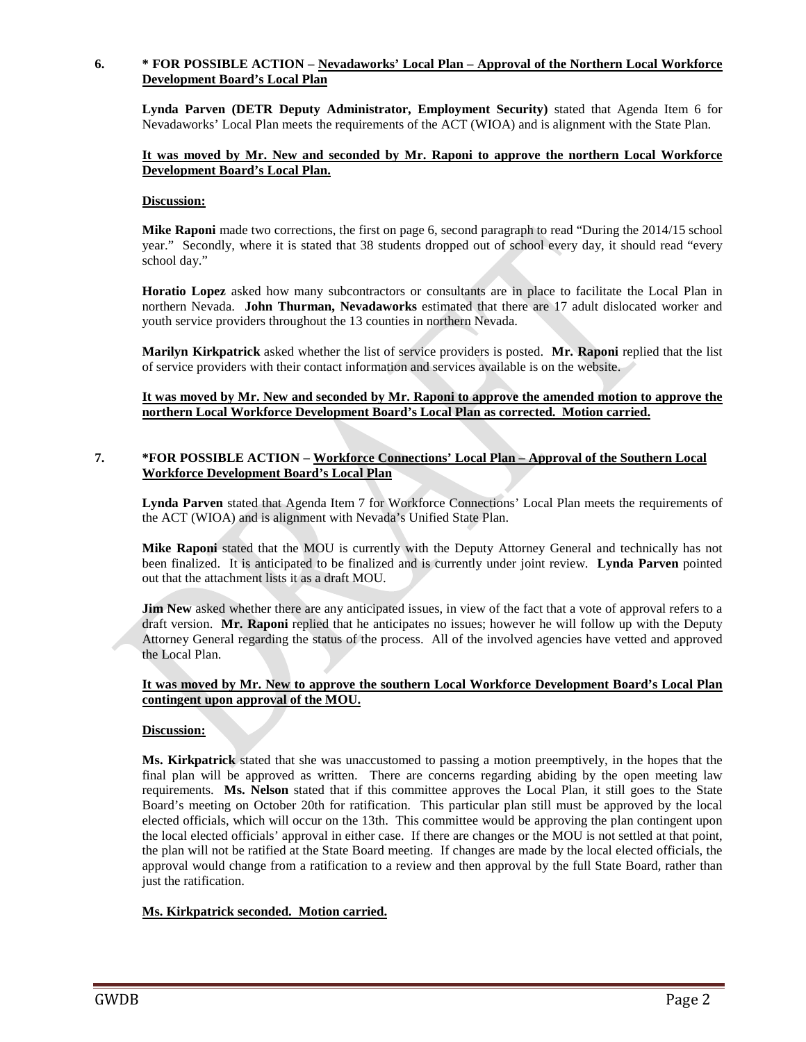#### **6. \* FOR POSSIBLE ACTION – Nevadaworks' Local Plan – Approval of the Northern Local Workforce Development Board's Local Plan**

**Lynda Parven (DETR Deputy Administrator, Employment Security)** stated that Agenda Item 6 for Nevadaworks' Local Plan meets the requirements of the ACT (WIOA) and is alignment with the State Plan.

#### **It was moved by Mr. New and seconded by Mr. Raponi to approve the northern Local Workforce Development Board's Local Plan.**

#### **Discussion:**

**Mike Raponi** made two corrections, the first on page 6, second paragraph to read "During the 2014/15 school" year." Secondly, where it is stated that 38 students dropped out of school every day, it should read "every school day."

**Horatio Lopez** asked how many subcontractors or consultants are in place to facilitate the Local Plan in northern Nevada. **John Thurman, Nevadaworks** estimated that there are 17 adult dislocated worker and youth service providers throughout the 13 counties in northern Nevada.

**Marilyn Kirkpatrick** asked whether the list of service providers is posted. **Mr. Raponi** replied that the list of service providers with their contact information and services available is on the website.

**It was moved by Mr. New and seconded by Mr. Raponi to approve the amended motion to approve the northern Local Workforce Development Board's Local Plan as corrected. Motion carried.** 

### **7. \*FOR POSSIBLE ACTION – Workforce Connections' Local Plan – Approval of the Southern Local Workforce Development Board's Local Plan**

**Lynda Parven** stated that Agenda Item 7 for Workforce Connections' Local Plan meets the requirements of the ACT (WIOA) and is alignment with Nevada's Unified State Plan.

**Mike Raponi** stated that the MOU is currently with the Deputy Attorney General and technically has not been finalized. It is anticipated to be finalized and is currently under joint review. **Lynda Parven** pointed out that the attachment lists it as a draft MOU.

**Jim New** asked whether there are any anticipated issues, in view of the fact that a vote of approval refers to a draft version. **Mr. Raponi** replied that he anticipates no issues; however he will follow up with the Deputy Attorney General regarding the status of the process. All of the involved agencies have vetted and approved the Local Plan.

#### **It was moved by Mr. New to approve the southern Local Workforce Development Board's Local Plan contingent upon approval of the MOU.**

#### **Discussion:**

**Ms. Kirkpatrick** stated that she was unaccustomed to passing a motion preemptively, in the hopes that the final plan will be approved as written. There are concerns regarding abiding by the open meeting law requirements. **Ms. Nelson** stated that if this committee approves the Local Plan, it still goes to the State Board's meeting on October 20th for ratification. This particular plan still must be approved by the local elected officials, which will occur on the 13th. This committee would be approving the plan contingent upon the local elected officials' approval in either case. If there are changes or the MOU is not settled at that point, the plan will not be ratified at the State Board meeting. If changes are made by the local elected officials, the approval would change from a ratification to a review and then approval by the full State Board, rather than just the ratification.

## **Ms. Kirkpatrick seconded. Motion carried.**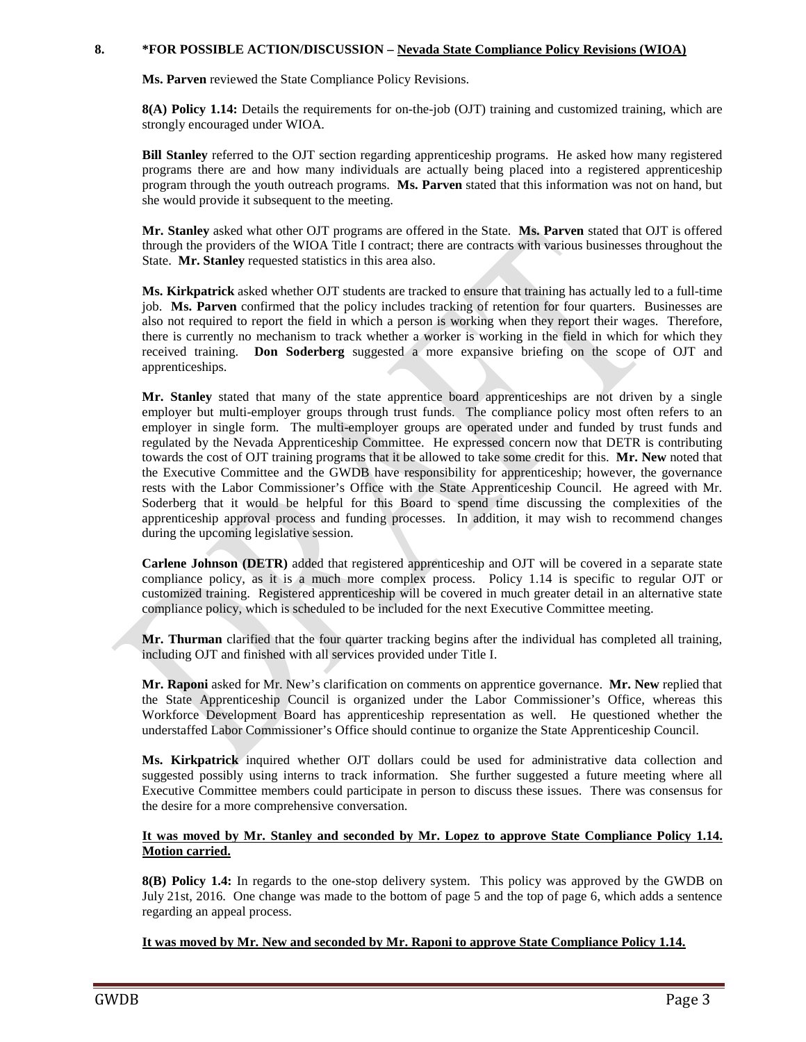#### **8. \*FOR POSSIBLE ACTION/DISCUSSION – Nevada State Compliance Policy Revisions (WIOA)**

**Ms. Parven** reviewed the State Compliance Policy Revisions.

**8(A) Policy 1.14:** Details the requirements for on-the-job (OJT) training and customized training, which are strongly encouraged under WIOA.

**Bill Stanley** referred to the OJT section regarding apprenticeship programs. He asked how many registered programs there are and how many individuals are actually being placed into a registered apprenticeship program through the youth outreach programs. **Ms. Parven** stated that this information was not on hand, but she would provide it subsequent to the meeting.

**Mr. Stanley** asked what other OJT programs are offered in the State. **Ms. Parven** stated that OJT is offered through the providers of the WIOA Title I contract; there are contracts with various businesses throughout the State. **Mr. Stanley** requested statistics in this area also.

**Ms. Kirkpatrick** asked whether OJT students are tracked to ensure that training has actually led to a full-time job. **Ms. Parven** confirmed that the policy includes tracking of retention for four quarters. Businesses are also not required to report the field in which a person is working when they report their wages. Therefore, there is currently no mechanism to track whether a worker is working in the field in which for which they received training. **Don Soderberg** suggested a more expansive briefing on the scope of OJT and apprenticeships.

**Mr. Stanley** stated that many of the state apprentice board apprenticeships are not driven by a single employer but multi-employer groups through trust funds. The compliance policy most often refers to an employer in single form. The multi-employer groups are operated under and funded by trust funds and regulated by the Nevada Apprenticeship Committee. He expressed concern now that DETR is contributing towards the cost of OJT training programs that it be allowed to take some credit for this. **Mr. New** noted that the Executive Committee and the GWDB have responsibility for apprenticeship; however, the governance rests with the Labor Commissioner's Office with the State Apprenticeship Council. He agreed with Mr. Soderberg that it would be helpful for this Board to spend time discussing the complexities of the apprenticeship approval process and funding processes. In addition, it may wish to recommend changes during the upcoming legislative session.

**Carlene Johnson (DETR)** added that registered apprenticeship and OJT will be covered in a separate state compliance policy, as it is a much more complex process. Policy 1.14 is specific to regular OJT or customized training. Registered apprenticeship will be covered in much greater detail in an alternative state compliance policy, which is scheduled to be included for the next Executive Committee meeting.

**Mr. Thurman** clarified that the four quarter tracking begins after the individual has completed all training, including OJT and finished with all services provided under Title I.

**Mr. Raponi** asked for Mr. New's clarification on comments on apprentice governance. **Mr. New** replied that the State Apprenticeship Council is organized under the Labor Commissioner's Office, whereas this Workforce Development Board has apprenticeship representation as well. He questioned whether the understaffed Labor Commissioner's Office should continue to organize the State Apprenticeship Council.

**Ms. Kirkpatrick** inquired whether OJT dollars could be used for administrative data collection and suggested possibly using interns to track information. She further suggested a future meeting where all Executive Committee members could participate in person to discuss these issues. There was consensus for the desire for a more comprehensive conversation.

#### **It was moved by Mr. Stanley and seconded by Mr. Lopez to approve State Compliance Policy 1.14. Motion carried.**

**8(B) Policy 1.4:** In regards to the one-stop delivery system. This policy was approved by the GWDB on July 21st, 2016. One change was made to the bottom of page 5 and the top of page 6, which adds a sentence regarding an appeal process.

#### **It was moved by Mr. New and seconded by Mr. Raponi to approve State Compliance Policy 1.14.**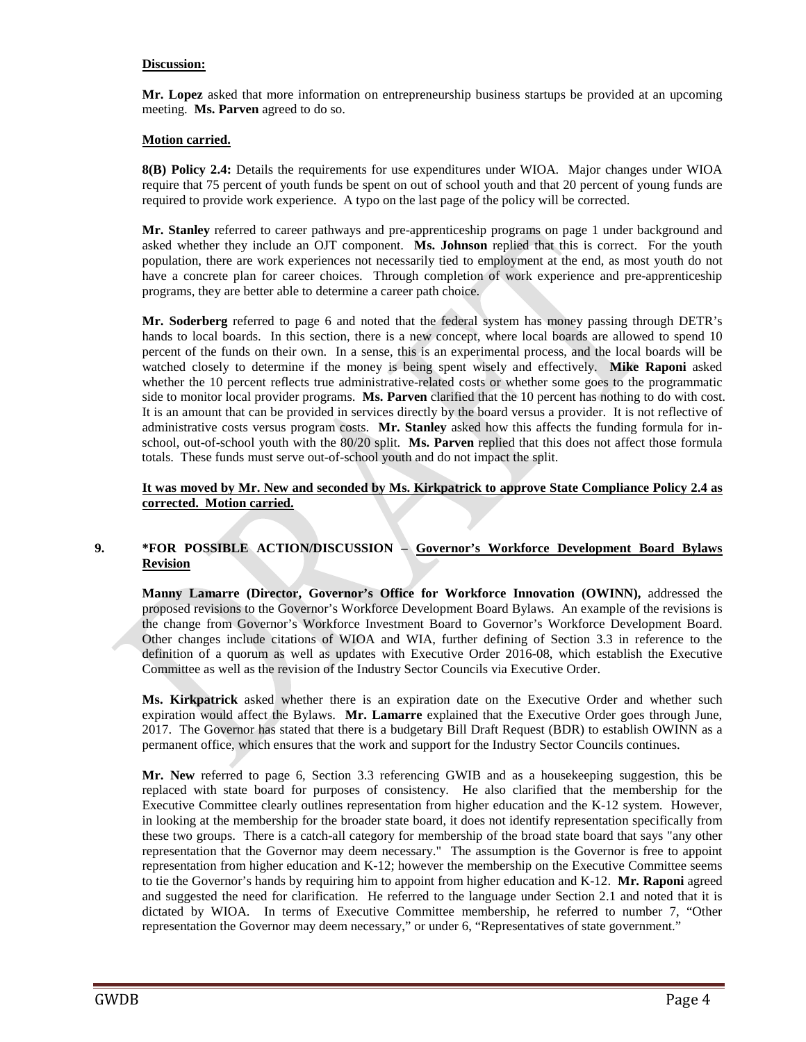#### **Discussion:**

**Mr. Lopez** asked that more information on entrepreneurship business startups be provided at an upcoming meeting. **Ms. Parven** agreed to do so.

### **Motion carried.**

**8(B) Policy 2.4:** Details the requirements for use expenditures under WIOA. Major changes under WIOA require that 75 percent of youth funds be spent on out of school youth and that 20 percent of young funds are required to provide work experience. A typo on the last page of the policy will be corrected.

**Mr. Stanley** referred to career pathways and pre-apprenticeship programs on page 1 under background and asked whether they include an OJT component. **Ms. Johnson** replied that this is correct. For the youth population, there are work experiences not necessarily tied to employment at the end, as most youth do not have a concrete plan for career choices. Through completion of work experience and pre-apprenticeship programs, they are better able to determine a career path choice.

**Mr. Soderberg** referred to page 6 and noted that the federal system has money passing through DETR's hands to local boards. In this section, there is a new concept, where local boards are allowed to spend 10 percent of the funds on their own. In a sense, this is an experimental process, and the local boards will be watched closely to determine if the money is being spent wisely and effectively. **Mike Raponi** asked whether the 10 percent reflects true administrative-related costs or whether some goes to the programmatic side to monitor local provider programs. **Ms. Parven** clarified that the 10 percent has nothing to do with cost. It is an amount that can be provided in services directly by the board versus a provider. It is not reflective of administrative costs versus program costs. **Mr. Stanley** asked how this affects the funding formula for inschool, out-of-school youth with the 80/20 split. **Ms. Parven** replied that this does not affect those formula totals. These funds must serve out-of-school youth and do not impact the split.

### **It was moved by Mr. New and seconded by Ms. Kirkpatrick to approve State Compliance Policy 2.4 as corrected. Motion carried.**

## **9. \*FOR POSSIBLE ACTION/DISCUSSION – Governor's Workforce Development Board Bylaws Revision**

**Manny Lamarre (Director, Governor's Office for Workforce Innovation (OWINN),** addressed the proposed revisions to the Governor's Workforce Development Board Bylaws. An example of the revisions is the change from Governor's Workforce Investment Board to Governor's Workforce Development Board. Other changes include citations of WIOA and WIA, further defining of Section 3.3 in reference to the definition of a quorum as well as updates with Executive Order 2016-08, which establish the Executive Committee as well as the revision of the Industry Sector Councils via Executive Order.

**Ms. Kirkpatrick** asked whether there is an expiration date on the Executive Order and whether such expiration would affect the Bylaws. **Mr. Lamarre** explained that the Executive Order goes through June, 2017. The Governor has stated that there is a budgetary Bill Draft Request (BDR) to establish OWINN as a permanent office, which ensures that the work and support for the Industry Sector Councils continues.

**Mr. New** referred to page 6, Section 3.3 referencing GWIB and as a housekeeping suggestion, this be replaced with state board for purposes of consistency. He also clarified that the membership for the Executive Committee clearly outlines representation from higher education and the K-12 system. However, in looking at the membership for the broader state board, it does not identify representation specifically from these two groups. There is a catch-all category for membership of the broad state board that says "any other representation that the Governor may deem necessary." The assumption is the Governor is free to appoint representation from higher education and K-12; however the membership on the Executive Committee seems to tie the Governor's hands by requiring him to appoint from higher education and K-12. **Mr. Raponi** agreed and suggested the need for clarification. He referred to the language under Section 2.1 and noted that it is dictated by WIOA. In terms of Executive Committee membership, he referred to number 7, "Other representation the Governor may deem necessary," or under 6, "Representatives of state government."